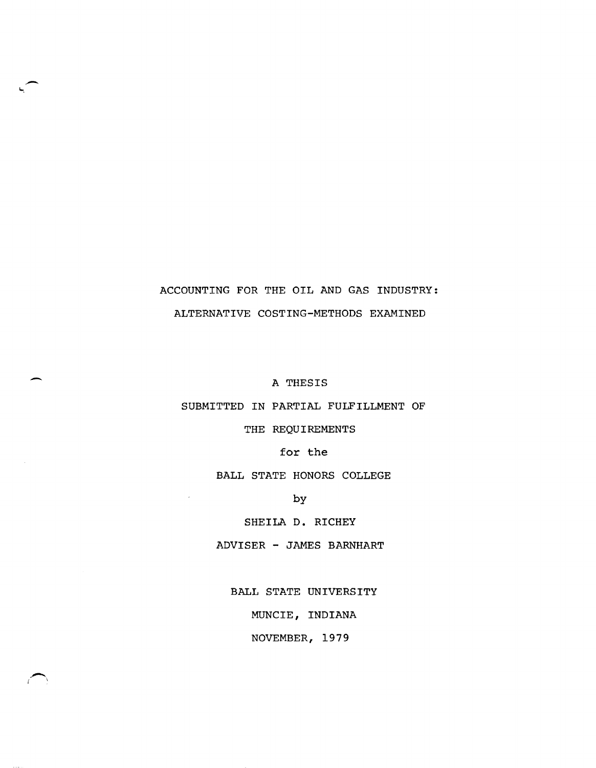# ACCOUNTING FOR THE OIL AND GAS INDUSTRY: ALTERNATIVE COSTING-METHODS EXAMINED

A THESIS

-

 $\overline{\phantom{m}}$ 

SUBMITTED IN PARTIAL FULFILLMENT OF

THE REQUIREMENTS

for the

BALL STATE HONORS COLLEGE

by

SHEILA D. RICHEY

ADVISER - JAMES BARNHART

BALL STATE UNIVERSITY

MUNCIE, INDIANA

NOVEMBER, 1979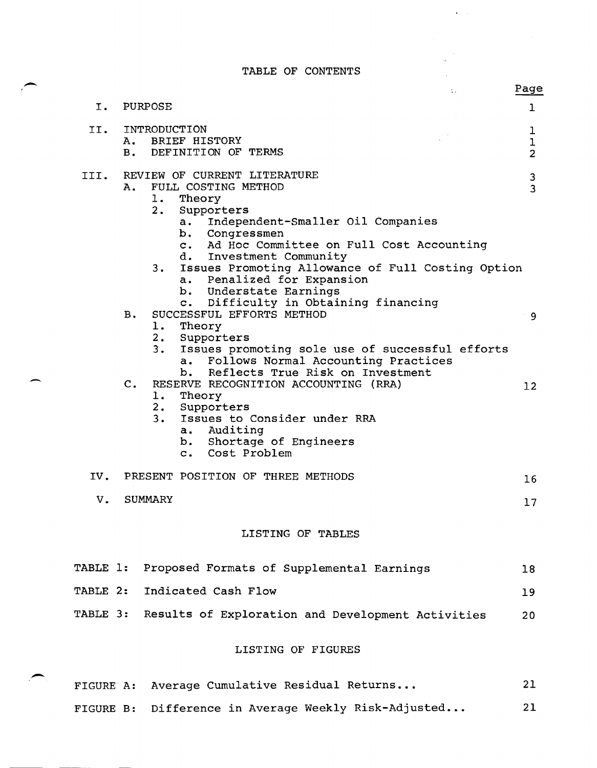$\hat{\mathbf{r}} = \hat{\mathbf{r}}$ 

|           | TABLE OF CONTENTS                                                                                                                                                                                                                                                                                                                                         |                                    |
|-----------|-----------------------------------------------------------------------------------------------------------------------------------------------------------------------------------------------------------------------------------------------------------------------------------------------------------------------------------------------------------|------------------------------------|
|           | $\mathcal{L}_{\rm{max}}$                                                                                                                                                                                                                                                                                                                                  | Page                               |
| $I$ .     | PURPOSE                                                                                                                                                                                                                                                                                                                                                   | $\mathbf{1}$                       |
| II.       | INTRODUCTION<br>BRIEF HISTORY<br>A.<br>DEFINITION OF TERMS<br><b>B.</b>                                                                                                                                                                                                                                                                                   | 1<br>$\mathbf 1$<br>$\overline{2}$ |
| III.      | REVIEW OF CURRENT LITERATURE<br>FULL COSTING METHOD<br>Α.<br>1. .<br>Theory<br>2.<br>Supporters<br>Independent-Smaller Oil Companies<br>a.<br>b. Congressmen<br>c. Ad Hoc Committee on Full Cost Accounting<br>d. Investment Community<br>Issues Promoting Allowance of Full Costing Option<br>3.<br>a. Penalized for Expansion<br>b. Understate Earnings | 3<br>$\overline{3}$                |
|           | c. Difficulty in Obtaining financing<br>SUCCESSFUL EFFORTS METHOD<br><b>B.</b><br>1. .<br>Theory<br>2. Supporters<br>3.<br>Issues promoting sole use of successful efforts<br>Follows Normal Accounting Practices<br>a.<br>b. Reflects True Risk on Investment                                                                                            | - 9                                |
|           | $C_{\bullet}$<br>RESERVE RECOGNITION ACCOUNTING (RRA)<br>1.<br>Theory<br>2.<br>Supporters<br>3.<br>Issues to Consider under RRA<br>Auditing<br>a.<br>b. Shortage of Engineers<br>c. Cost Problem                                                                                                                                                          | 12                                 |
| IV.       | PRESENT POSITION OF THREE METHODS                                                                                                                                                                                                                                                                                                                         | 16                                 |
| V.        | <b>SUMMARY</b>                                                                                                                                                                                                                                                                                                                                            | 17                                 |
|           | LISTING OF TABLES                                                                                                                                                                                                                                                                                                                                         |                                    |
| TABLE 1:  | Proposed Formats of Supplemental Earnings                                                                                                                                                                                                                                                                                                                 | 18                                 |
| TABLE 2:  | Indicated Cash Flow                                                                                                                                                                                                                                                                                                                                       | 19                                 |
|           | TABLE 3: Results of Exploration and Development Activities                                                                                                                                                                                                                                                                                                | 20                                 |
|           | LISTING OF FIGURES                                                                                                                                                                                                                                                                                                                                        |                                    |
| FIGURE A: | Average Cumulative Residual Returns                                                                                                                                                                                                                                                                                                                       | 21                                 |

FIGURE B: Difference in Average Weekly Risk-Adjusted... 21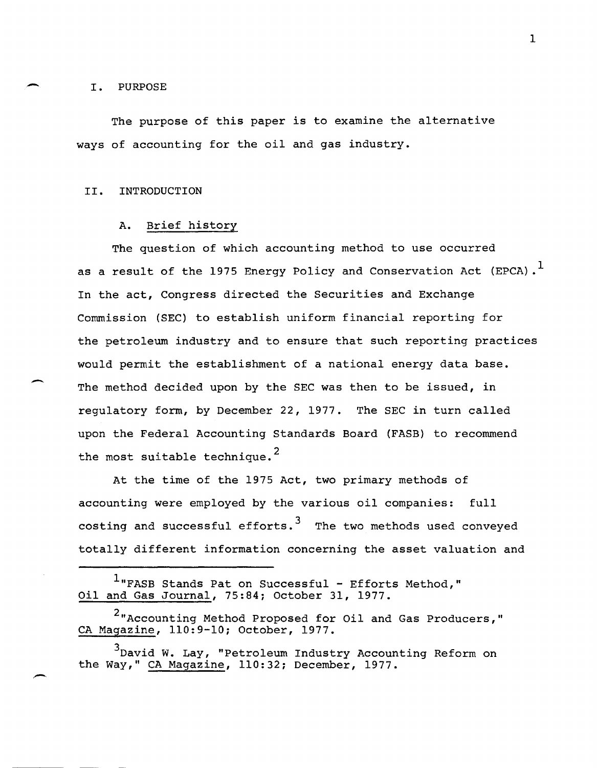#### I. PURPOSE

-

-

The purpose of this paper is to examine the alternative ways of accounting for the oil and gas industry.

## II. INTRODUCTION

#### A. Brief history

The question of which accounting method to use occurred as a result of the 1975 Energy Policy and Conservation Act (EPCA).<sup>1</sup> In the act, Congress directed the Securities and Exchange Commission (SEC) to establish uniform financial reporting for the petroleum industry and to ensure that such reporting practices would permit the establishment of a national energy data base. The method decided upon by the SEC was then to be issued, in regulatory form, by December 22, 1977. The SEC in turn called upon the Federal Accounting Standards Board (FASB) to recommend the most suitable technique.<sup>2</sup>

At the time of the 1975 Act, two primary methods of accounting were employed by the various oil companies: full costing and successful efforts.<sup>3</sup> The two methods used conveyed totally different information concerning the asset valuation and

 $1$ "FASB Stands Pat on Successful - Efforts Method," Oil and Gas Journal, 75:84; October 31, 1977.

<sup>2&</sup>quot;Accounting Method Proposed for Oil and Gas Producers," CA Magazine, 110:9-10; October, 1977.

<sup>3</sup>David W. Lay, "Petroleum Industry Accounting Reform on the Way," CA Magazine, 110:32; December, 1977.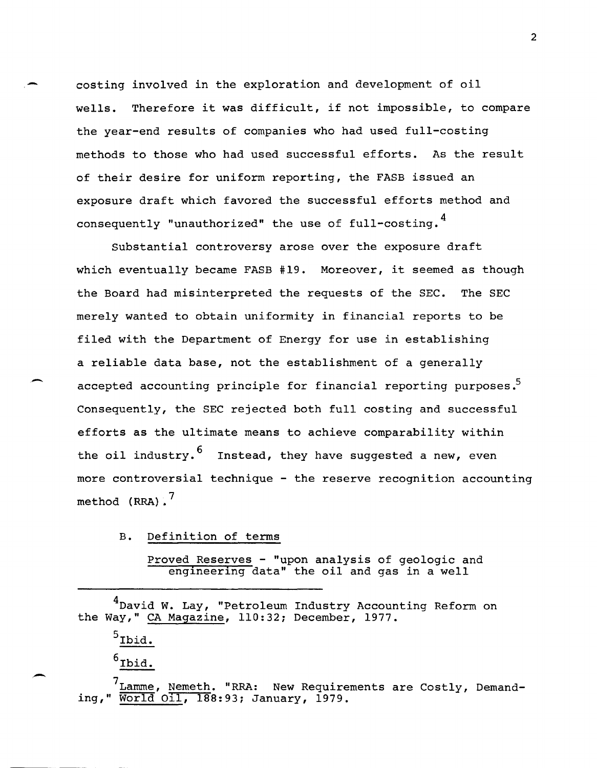costing involved in the exploration and development of oil wells. Therefore it was difficult, if not impossible, to compare the year-end results of companies who had used full-costing methods to those who had used successful efforts. As the result of their desire for uniform reporting, the FASB issued an exposure draft which favored the successful efforts method and consequently "unauthorized" the use of full-costing.<sup>4</sup>

Substantial controversy arose over the exposure draft which eventually became FASB #19. Moreover, it seemed as though the Board had misinterpreted the requests of the SEC. The SEC merely wanted to obtain uniformity in financial reports to be filed with the Department of Energy for use in establishing a reliable data base, not the establishment of a generally accepted accounting principle for financial reporting purposes.<sup>5</sup> Consequently, the SEC rejected both full costing and successful efforts as the ultimate means to achieve comparability within the oil industry.  $\frac{6}{1}$  Instead, they have suggested a new, even more controversial technique - the reserve recognition accounting method  $(RRA)$ .

B. Definition of terms

Proved Reserves - "upon analysis of geologic and engineering data" the oil and gas in a well

<sup>4</sup>David W. Lay, "Petroleum Industry Accounting Reform on the Way," CA Magazine, 110:32; December, 1977.

 $<sup>5</sup>$ Ibid.</sup>

Ibid.

 $\frac{7}{100}$  Lamme, Nemeth. "RRA: New Requirements are Costly, Demand-<br>ing, " World Oll, 188:93; January, 1979. World Oil, 188:93; January, 1979.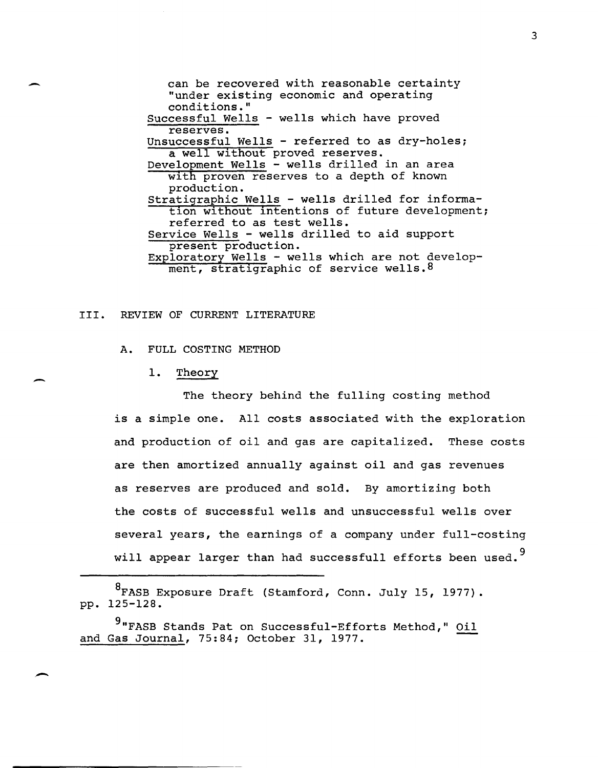can be recovered with reasonable certainty "under existing economic and operating conditions." Successful Wells - wells which have proved reserves. Unsuccessful Wells - referred to as dry-holes; a well without proved reserves. Development Wells - wells drilled in an area with proven reserves to a depth of known production. Stratigraphic Wells - wells drilled for information without intentions of future development; referred to as test wells. Service Wells - wells drilled to aid support present production. Exploratory Wells - wells which are not development, stratigraphic of service wells. 8

## III. REVIEW OF CURRENT LITERATURE

A. FULL COSTING METHOD

1. Theory

The theory behind the fulling costing method is a simple one. All costs associated with the exploration and production of oil and gas are capitalized. These costs are then amortized annually against oil and gas revenues as reserves are produced and sold. By amortizing both the costs of successful wells and unsuccessful wells over several years, the earnings of a company under full-costing will appear larger than had successfull efforts been used.<sup>9</sup>

8FASB Exposure Draft (Stamford, Conn. July 15, 1977). pp. 125-128.

9"FASB Stands Pat on Successful-Efforts Method," Oil and Gas Journal, 75:84; October 31, 1977.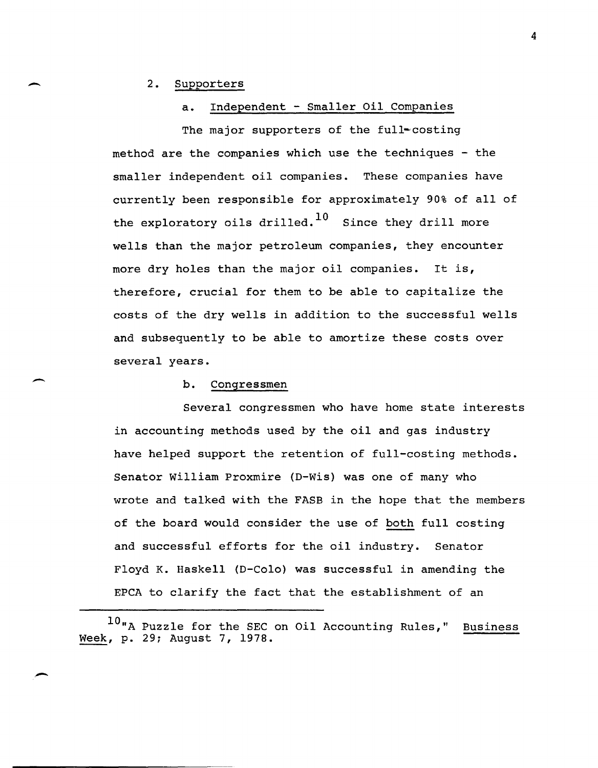## 2. Supporters

 $\overline{\phantom{0}}$ 

 $\overline{\phantom{0}}$ 

. -

## a. Independent - Smaller Oil Companies

The major supporters of the full-costing method are the companies which use the techniques - the smaller independent oil companies. These companies have currently been responsible for approximately 90% of all of the exploratory oils drilled.<sup>10</sup> Since they drill more wells than the major petroleum companies, they encounter more dry holes than the major oil companies. It is, therefore, crucial for them to be able to capitalize the costs of the dry wells in addition to the successful wells and subsequently to be able to amortize these costs over several years.

## b. Congressmen

Several congressmen who have home state interests in accounting methods used by the oil and gas industry have helped support the retention of full-costing methods. Senator William Proxmire (D-Wis) was one of many who wrote and talked with the FASB in the hope that the members of the board would consider the use of both full costing and successful efforts for the oil industry. Senator Floyd K. Haskell (D-Colo) was successful in amending the EPCA to clarify the fact that the establishment of an

<sup>10&</sup>quot;A Puzzle for the SEC on Oil Accounting Rules," Business Week, p. 29; August 7, 1978 •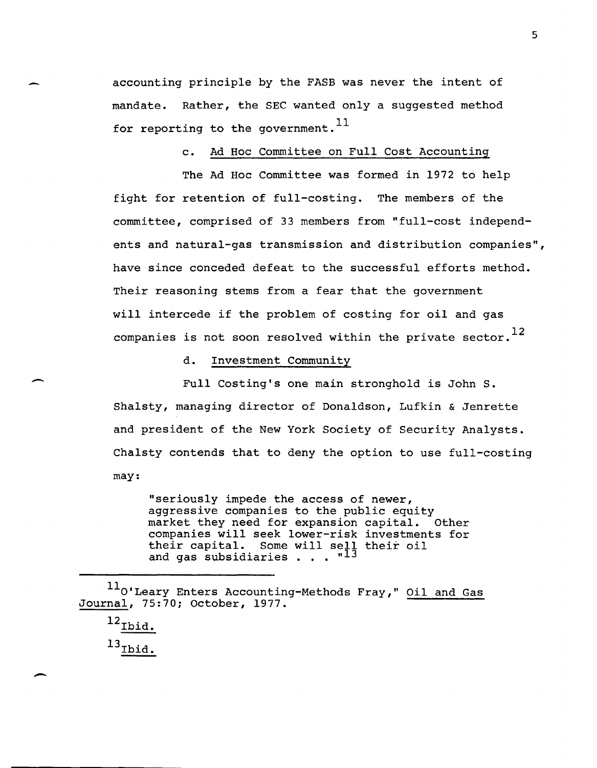accounting principle by the FASB was never the intent of mandate. Rather, the SEC wanted only a suggested method for reporting to the government.  $^{11}$ 

## c. Ad Hoc Committee on Full Cost Accounting

The Ad Hoc Committee was formed in 1972 to help fight for retention of full-costing. The members of the committee, comprised of 33 members from "full-cost independents and natural-gas transmission and distribution companies", have since conceded defeat to the successful efforts method. Their reasoning stems from a fear that the government will intercede if the problem of costing for oil and gas companies is not soon resolved within the private sector.<sup>12</sup>

d. Investment Community

Full Costing's one main stronghold is John S. Shalsty, managing director of Donaldson, Lufkin & Jenrette and president of the New York Society of Security Analysts. Chalsty contends that to deny the option to use full-costing may:

"seriously impede the access of newer, aggressive companies to the public equity<br>market they need for expansion capital. Other market they need for expansion capital. companies will seek lower-risk investments for their capital. Some will sell their oil and gas subsidiaries . . . "13

11<sub>0'Leary</sub> Enters Accounting-Methods Fray," Oil and Gas Journal, 75:70; October, 1977.

 $^{12}$ Ibid.  $^{13}$ Ibid.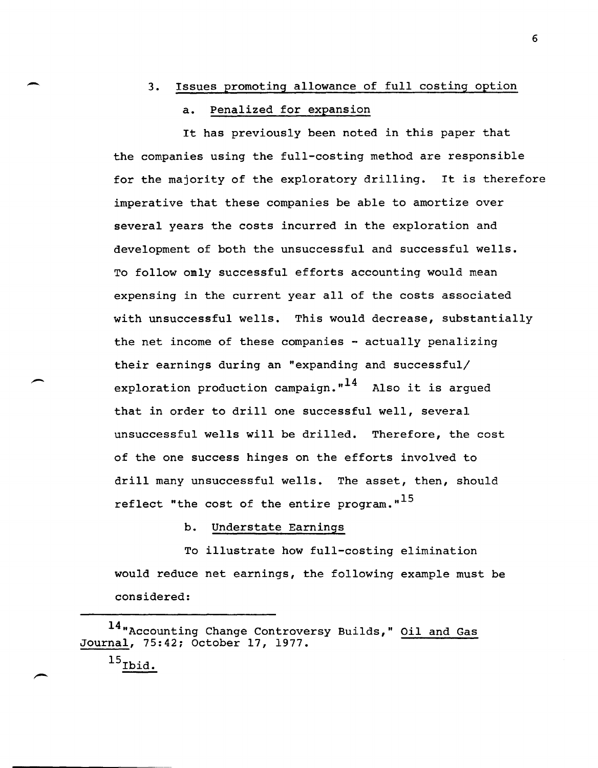## 3. Issues promoting allowance of full costing option

## a. Penalized for expansion

It has previously been noted in this paper that the companies using the full-costing method are responsible for the majority of the exploratory drilling. It is therefore imperative that these companies be able to amortize over several years the costs incurred in the exploration and development of both the unsuccessful and successful wells. To follow omly successful efforts accounting would mean expensing in the current year all of the costs associated with unsuccessful wells. This would decrease, substantially the net income of these companies  $-$  actually penalizing their earnings during an "expanding and successful/ exploration production campaign. $n^{14}$  Also it is argued that in order to drill one successful well, several unsuccessful wells will be drilled. Therefore, the cost of the one success hinges on the efforts involved to drill many unsuccessful wells. The asset, then, should reflect "the cost of the entire program." $^{15}$ 

## b. Understate Earnings

To illustrate how full-costing elimination would reduce net earnings, the following example must be considered:

 $\overline{\phantom{0}}$ 

<sup>14 &</sup>quot;Accounting Change Controversy Builds," Oil and Gas Journal, 75:42; October 17, 1977.

 $^{15}$ Ibid.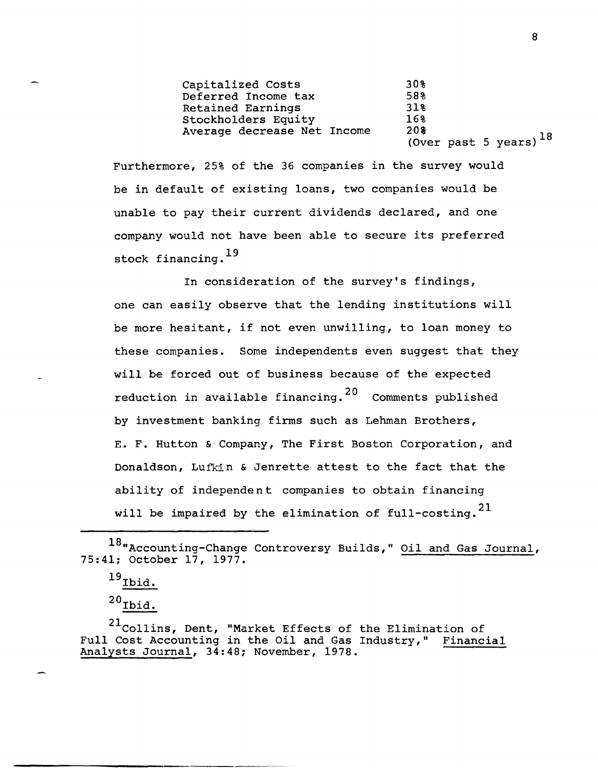| Capitalized Costs           | 30%                         |
|-----------------------------|-----------------------------|
| Deferred Income tax         | 58%                         |
| Retained Earnings           | 318                         |
| Stockholders Equity         | 16%                         |
| Average decrease Net Income | 20%                         |
|                             | (Over past 5 years) $^{18}$ |

Furthermore, 25% of the 36 companies in the survey would be in default of existing loans, two companies would be unable to pay their current dividends declared, and one company would not have been able to secure its preferred stock financing.<sup>19</sup>

In consideration of the survey's findings, one can easily observe that the lending institutions will be more hesitant, if not even unwilling, to loan money to these companies. Some independents even suggest that they will be forced out of business because of the expected reduction in available financing. 20 Comments published by investment banking firms such as Lehman Brothers, E. F. Hutton & Company, The First Boston Corporation, and Donaldson, Lufkin & Jenrette attest to the fact that the ability of independent companies to obtain financing will be impaired by the elimination of full-costing.<sup>21</sup>

 $^{19}$  Ibid.

 $^{20}$ Ibid.

<sup>21</sup>Collins, Dent, "Market Effects of the Elimination of Full Cost Accounting in the Oil and Gas Industry," Financial Analysts Journal, 34:48; November, 1978.

<sup>18&</sup>quot;Accounting-Change Controversy Builds," Oil and Gas Journal, 75:41; October 17, 1977.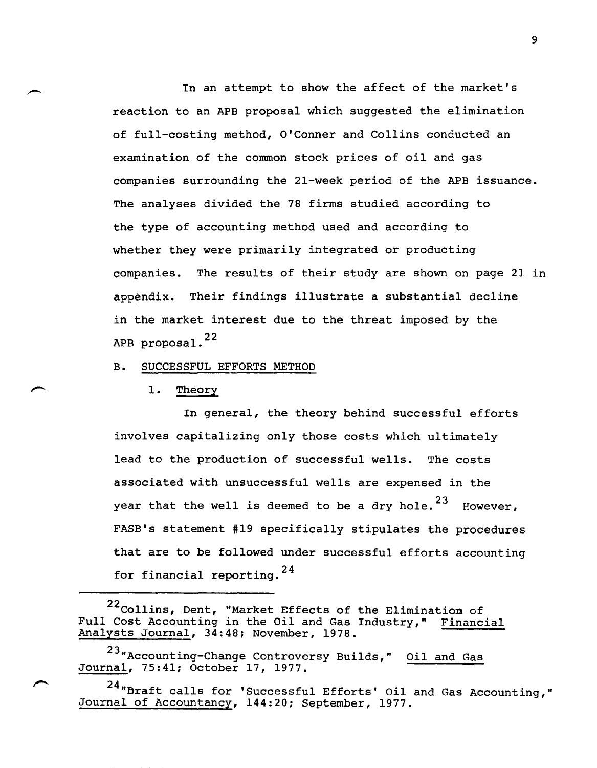In an attempt to show the affect of the market's reaction to an APB proposal which suggested the elimination of full-costing method, O'Conner and Collins conducted an examination of the common stock prices of oil and gas companies surrounding the 2l-week period of the APB issuance. The analyses divided the 78 firms studied according to the type of accounting method used and according to whether they were primarily integrated or producting companies. The results of their study are shown on page 21 in appendix. Their findings illustrate a substantial decline in the market interest due to the threat imposed by the APB proposal. <sup>22</sup>

B. SUCCESSFUL EFFORTS METHOD

1. Theory

In general, the theory behind successful efforts involves capitalizing only those costs which ultimately lead to the production of successful wells. The costs associated with unsuccessful wells are expensed in the year that the well is deemed to be a dry hole.<sup>23</sup> However, FASB's statement #19 specifically stipulates the procedures that are to be followed under successful efforts accounting for financial reporting. <sup>24</sup>

22 Collins, Dent, "Market Effects of the Elimination of Full Cost Accounting in the Oil and Gas Industry," Financial Analysts Journal, 34:48; November, 1978.

23"Accounting-Change Controversy Builds," Oil and Gas Journal, 75:41; October 17, 1977.

24"Braft calls for 'Successful Efforts' Oil and Gas Accounting," Journal of Accountancy, 144:20; September, 1977.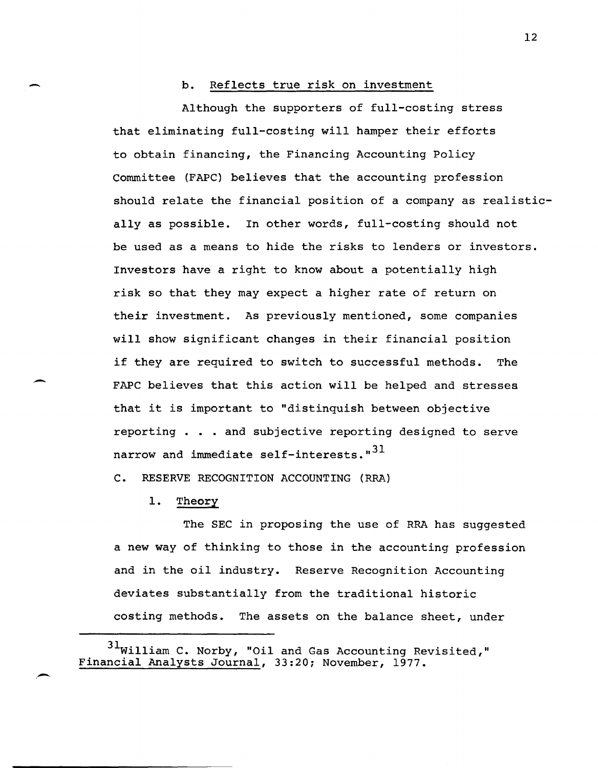## b. Reflects true risk on investment

Although the supporters of full-costing stress that eliminating full-costing will hamper their efforts to obtain financing, the Financing Accounting Policy Committee (FAPC) believes that the accounting profession should relate the financial position of a company as realistically as possible. In other words, full-costing should not be used as a means to hide the risks to lenders or investors. Investors have a right to know about a potentially high risk so that they may expect a higher rate of return on their investment. As previously mentioned, some companies will show significant changes in their financial position if they are required to switch to successful methods. The FAPC believes that this action will be helped and stresses that it is important to "distinquish between objective reporting . • . and subjective reporting designed to serve narrow and immediate self-interests. $n^{31}$ 

C. RESERVE RECOGNITION ACCOUNTING (RRA)

1. Theory

--

-

The SEC in proposing the use of RRA has suggested a new way of thinking to those in the accounting profession and in the oil industry. Reserve Recognition Accounting deviates substantially from the traditional historic costing methods. The assets on the balance sheet, under

 $31$ William C. Norby, "Oil and Gas Accounting Revisited," Financial Analysts Journal, 33:20; November, 1977.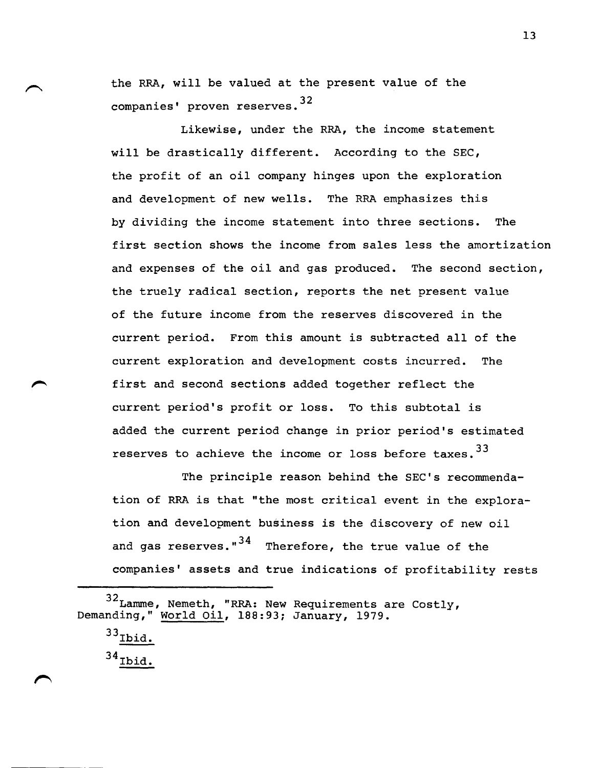the RRA, will be valued at the present value of the companies' proven reserves.<sup>32</sup>

Likewise, under the RRA, the income statement will be drastically different. According to the SEC, the profit of an oil company hinges upon the exploration and development of new wells. The RRA emphasizes this by dividing the income statement into three sections. The first section shows the income from sales less the amortization and expenses of the oil and gas produced. The second section, the truely radical section, reports the net present value of the future income from the reserves discovered in the current period. From this amount is subtracted all of the current exploration and development costs incurred. The first and second sections added together reflect the current period's profit or loss. To this subtotal is added the current period change in prior period's estimated reserves to achieve the income or loss before taxes.<sup>33</sup>

The principle reason behind the SEC's recommendation of RRA is that "the most critical event in the exploration and development business is the discovery of new oil and gas reserves." $34$  Therefore, the true value of the companies' assets and true indications of profitability rests

 $33$ Ibid.  $34$  Ibid.

<sup>32</sup> Lamme, Nemeth, "RRA: New Requirements are Costly, Demanding," World Oil, 188:93; January, 1979.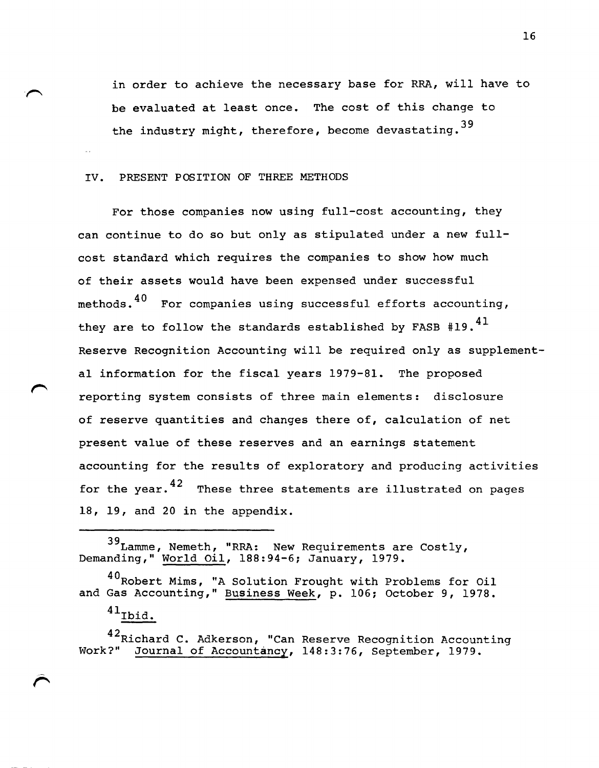in order to achieve the necessary base for RRA, will have to be evaluated at least once. The cost of this change to the industry might, therefore, become devastating.  $39$ 

## IV. PRESENT POSITION OF THREE METHODS

For those companies now using full-cost accounting, they can continue to do so but only as stipulated under a new fullcost standard which requires the companies to show how much of their assets would have been expensed under successful methods.  $40$  For companies using successful efforts accounting, they are to follow the standards established by FASB  $*19.^{41}$ Reserve Recognition Accounting will be required only as supplemental information for the fiscal years 1979-81. The proposed reporting system consists of three main elements: disclosure of reserve quantities and changes there of, calculation of net present value of these reserves and an earnings statement accounting for the results of exploratory and producing activities for the year. $^{42}$  These three statements are illustrated on pages 18, 19, and 20 in the appendix.

39Lamme , Nemeth, "RRA: New Requirements are Costly, Demanding," World Oil, 188:94-6; January, 1979.

40 Robert Mims, "A Solution Frought with Problems for Oil and Gas Accounting," Business Week, p. 106; October 9, 1978.

 $^{41}$ Ibid.

42Richard C. Adkerson, "Can Reserve Recognition Accounting Work?" Journal of Accountancy, 148:3:76, September, 1979.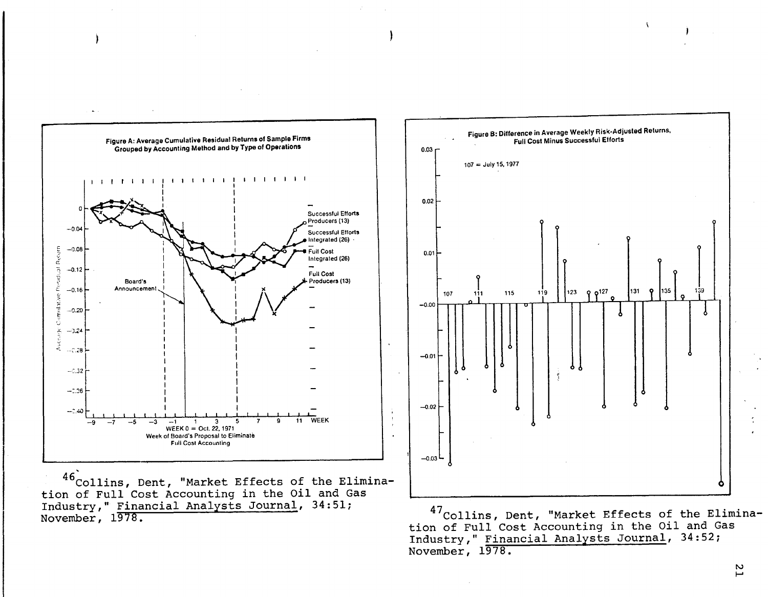

tion of Full Cost Accounting in the Oil and Gas Industry," Financial Analysts Journal, 34:51; November, 1978.



47collins, Dent, "Market Effects of the Elimination of Full Cost Accounting in the Oil and Gas Industry," Financial Analysts Journal, 34:52; November, 1978.

> tv I-'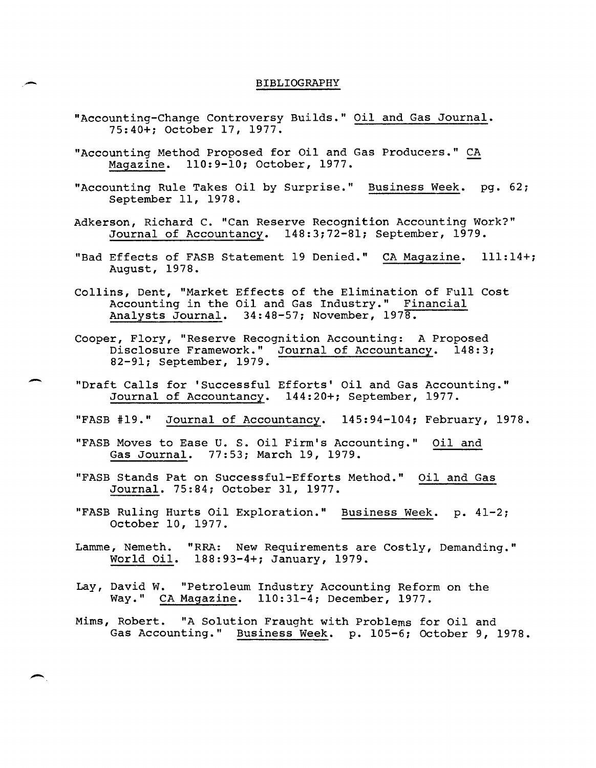## BIBLIOGRAPHY

"Accounting-Change Controversy Builds." Oil and Gas Journal. 75:40+; October 17, 1977.

-

-

- "Accounting Method Proposed for Oil and Gas Producers." CA<br>Magazine. 110:9-10; October, 1977.
- "Accounting Rule Takes Oil by Surprise." Business Week. pg. 62; September 11, 1978.
- Adkerson, Richard C. "Can Reserve Recognition Accounting Work?" Journal of Accountancy. 148:3;72-81; September, 1979.
- "Bad Effects of FASB Statement 19 Denied." CA Magazine. 111:14+; August, 1978.
- Collins, Dent, "Market Effects of the Elimination of Full Cost Accounting in the Oil and Gas Industry." Financial Analysts Journal. 34:48-57; November, 1978.
- Cooper, Flory, "Reserve Recognition Accounting: A Proposed<br>Disclosure Framework." Journal of Accountancy. 148:3 Journal of Accountancy. 148:3; 82-91; September, 1979.
- "Draft Calls for 'Successful Efforts' Oil and Gas Accounting." Journal of Accountancy. 144:20+; September, 1977.
- "FASB #19." Journal of Accountancy. 145:94-104; February, 1978.
- "FASB Moves to Ease U. S. Oil Firm's Accounting." Oil and Gas Journal. 77:53; March 19, 1979.
- "FASB Stands Pat on Successful-Efforts Method." Oil and Gas Journal. 75:84; October 31, 1977.
- "FASB Ruling Hurts Oil Exploration." Business Week. p. 41-2; October 10, 1977.
- Lamme, Nemeth. "RRA: New Requirements are Costly, Demanding." World Oil. 188:93-4+; January, 1979.
- Lay, David W. "Petroleum Industry Accounting Reform on the Way." CA Magazine. 110:31-4; December, 1977.
- Mims, Robert. "A Solution Fraught with Problems for Oil and Gas Accounting." Business Week. p. 105-6; October 9, 1978.